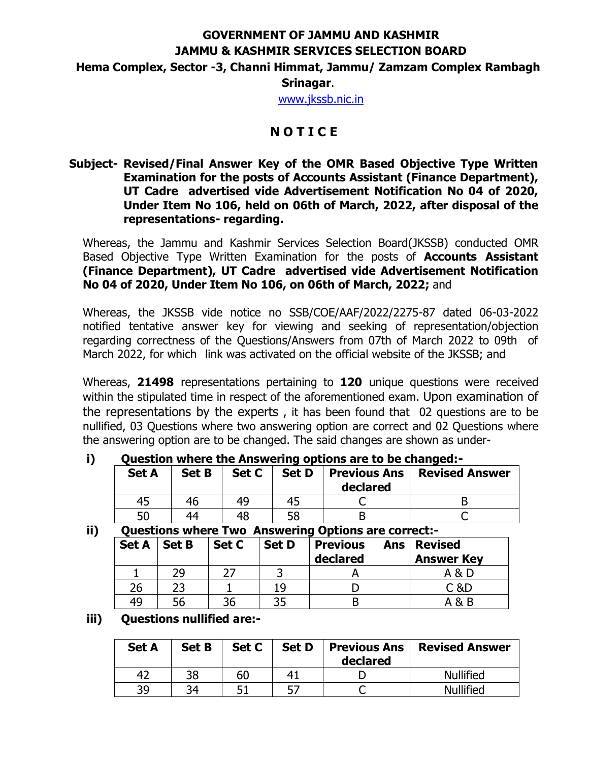## **GOVERNMENT OF JAMMU AND KASHMIR JAMMU & KASHMIR SERVICES SELECTION BOARD Hema Complex, Sector -3, Channi Himmat, Jammu/ Zamzam Complex Rambagh Srinagar**.

[www.jkssb.nic.in](http://www.jkssb.nic.in/)

# **N O T I C E**

### **Subject- Revised/Final Answer Key of the OMR Based Objective Type Written Examination for the posts of Accounts Assistant (Finance Department), UT Cadre advertised vide Advertisement Notification No 04 of 2020, Under Item No 106, held on 06th of March, 2022, after disposal of the representations- regarding.**

Whereas, the Jammu and Kashmir Services Selection Board(JKSSB) conducted OMR Based Objective Type Written Examination for the posts of **Accounts Assistant (Finance Department), UT Cadre advertised vide Advertisement Notification No 04 of 2020, Under Item No 106, on 06th of March, 2022;** and

Whereas, the JKSSB vide notice no SSB/COE/AAF/2022/2275-87 dated 06-03-2022 notified tentative answer key for viewing and seeking of representation/objection regarding correctness of the Questions/Answers from 07th of March 2022 to 09th of March 2022, for which link was activated on the official website of the JKSSB; and

Whereas, **21498** representations pertaining to **120** unique questions were received within the stipulated time in respect of the aforementioned exam. Upon examination of the representations by the experts , it has been found that 02 questions are to be nullified, 03 Questions where two answering option are correct and 02 Questions where the answering option are to be changed. The said changes are shown as under-

**i) Question where the Answering options are to be changed:-**

| <b>Set A</b> | <b>Set B</b> | Set C | <b>Set D</b> | declared | Previous Ans   Revised Answer |
|--------------|--------------|-------|--------------|----------|-------------------------------|
| 45           | 46           | 49    |              |          |                               |
| 50           | 44           | 48    |              |          |                               |

#### **ii) Questions where Two Answering Options are correct:-**

| <b>Set A</b> | <b>Set B</b> | Set C | <b>Set D</b> | <b>Previous</b><br><b>Ans</b><br>declared | <b>Revised</b><br><b>Answer Key</b> |
|--------------|--------------|-------|--------------|-------------------------------------------|-------------------------------------|
|              | 29           |       |              |                                           | A & D                               |
| 26           |              |       | 19           |                                           | C &D                                |
| 49           | 56           | 36    |              |                                           | A & B                               |

#### **iii) Questions nullified are:-**

| <b>Set A</b> | <b>Set B</b> | Set C | <b>Set D</b> | declared | <b>Previous Ans   Revised Answer</b> |
|--------------|--------------|-------|--------------|----------|--------------------------------------|
| 42           | 38           | 60    | 41           |          | <b>Nullified</b>                     |
| 39           | 34           |       |              |          | <b>Nullified</b>                     |